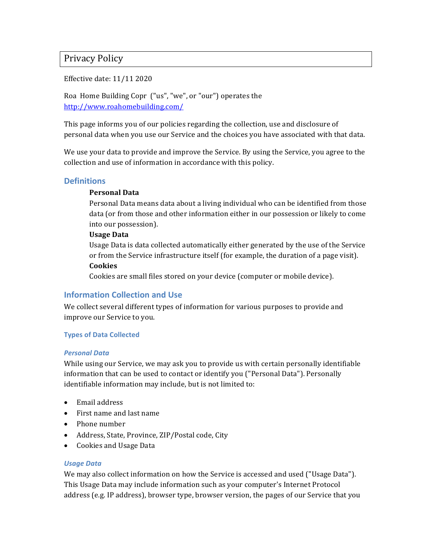# Privacy Policy

Effective date: 11/11 2020

Roa Home Building Copr ("us", "we", or "our") operates the http://www.roahomebuilding.com/

This page informs you of our policies regarding the collection, use and disclosure of personal data when you use our Service and the choices you have associated with that data.

We use your data to provide and improve the Service. By using the Service, you agree to the collection and use of information in accordance with this policy.

## **Definitions**

### **Personal Data**

Personal Data means data about a living individual who can be identified from those data (or from those and other information either in our possession or likely to come into our possession).

#### **Usage Data**

Usage Data is data collected automatically either generated by the use of the Service or from the Service infrastructure itself (for example, the duration of a page visit). **Cookies**

Cookies are small files stored on your device (computer or mobile device).

## **Information Collection and Use**

We collect several different types of information for various purposes to provide and improve our Service to you.

### **Types of Data Collected**

#### *Personal Data*

While using our Service, we may ask you to provide us with certain personally identifiable information that can be used to contact or identify you ("Personal Data"). Personally identifiable information may include, but is not limited to:

- Email address
- $\bullet$  First name and last name
- Phone number
- Address, State, Province, ZIP/Postal code, City
- Cookies and Usage Data

### *Usage Data*

We may also collect information on how the Service is accessed and used ("Usage Data"). This Usage Data may include information such as your computer's Internet Protocol address (e.g. IP address), browser type, browser version, the pages of our Service that you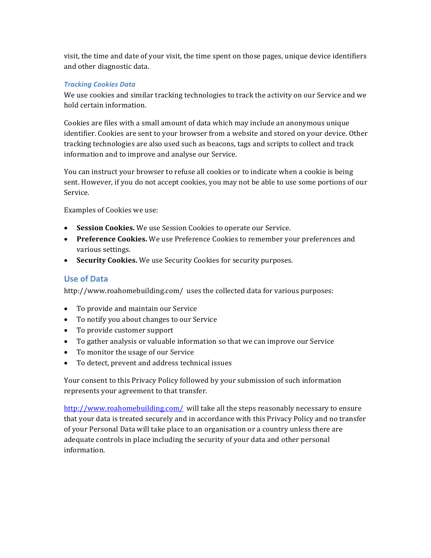visit, the time and date of your visit, the time spent on those pages, unique device identifiers and other diagnostic data.

### *Tracking Cookies Data*

We use cookies and similar tracking technologies to track the activity on our Service and we hold certain information.

Cookies are files with a small amount of data which may include an anonymous unique identifier. Cookies are sent to your browser from a website and stored on your device. Other tracking technologies are also used such as beacons, tags and scripts to collect and track information and to improve and analyse our Service.

You can instruct your browser to refuse all cookies or to indicate when a cookie is being sent. However, if you do not accept cookies, you may not be able to use some portions of our Service.

Examples of Cookies we use:

- Session Cookies. We use Session Cookies to operate our Service.
- **Preference Cookies.** We use Preference Cookies to remember your preferences and various settings.
- **Security Cookies.** We use Security Cookies for security purposes.

### **Use of Data**

http://www.roahomebuilding.com/ uses the collected data for various purposes:

- To provide and maintain our Service
- To notify you about changes to our Service
- To provide customer support
- To gather analysis or valuable information so that we can improve our Service
- To monitor the usage of our Service
- To detect, prevent and address technical issues

Your consent to this Privacy Policy followed by your submission of such information represents your agreement to that transfer.

http://www.roahomebuilding.com/ will take all the steps reasonably necessary to ensure that your data is treated securely and in accordance with this Privacy Policy and no transfer of your Personal Data will take place to an organisation or a country unless there are adequate controls in place including the security of your data and other personal information.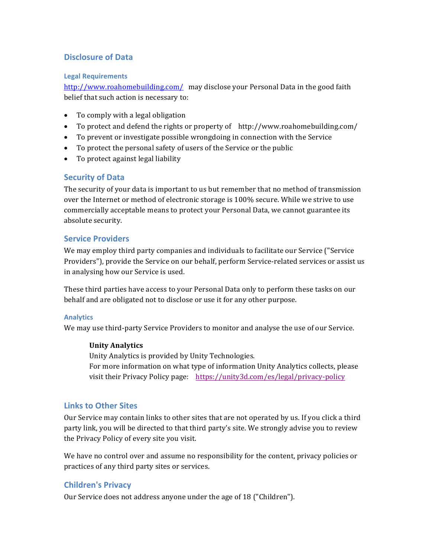# **Disclosure of Data**

### **Legal Requirements**

http://www.roahomebuilding.com/ may disclose your Personal Data in the good faith belief that such action is necessary to:

- To comply with a legal obligation
- To protect and defend the rights or property of http://www.roahomebuilding.com/
- To prevent or investigate possible wrongdoing in connection with the Service
- To protect the personal safety of users of the Service or the public
- To protect against legal liability

# **Security of Data**

The security of your data is important to us but remember that no method of transmission over the Internet or method of electronic storage is 100% secure. While we strive to use commercially acceptable means to protect your Personal Data, we cannot guarantee its absolute security.

## **Service Providers**

We may employ third party companies and individuals to facilitate our Service ("Service Providers"), provide the Service on our behalf, perform Service-related services or assist us in analysing how our Service is used.

These third parties have access to your Personal Data only to perform these tasks on our behalf and are obligated not to disclose or use it for any other purpose.

## **Analytics**

We may use third-party Service Providers to monitor and analyse the use of our Service.

## **Unity Analytics**

Unity Analytics is provided by Unity Technologies. For more information on what type of information Unity Analytics collects, please visit their Privacy Policy page: https://unity3d.com/es/legal/privacy-policy

# **Links to Other Sites**

Our Service may contain links to other sites that are not operated by us. If you click a third party link, you will be directed to that third party's site. We strongly advise you to review the Privacy Policy of every site you visit.

We have no control over and assume no responsibility for the content, privacy policies or practices of any third party sites or services.

# **Children's Privacy**

Our Service does not address anyone under the age of 18 ("Children").